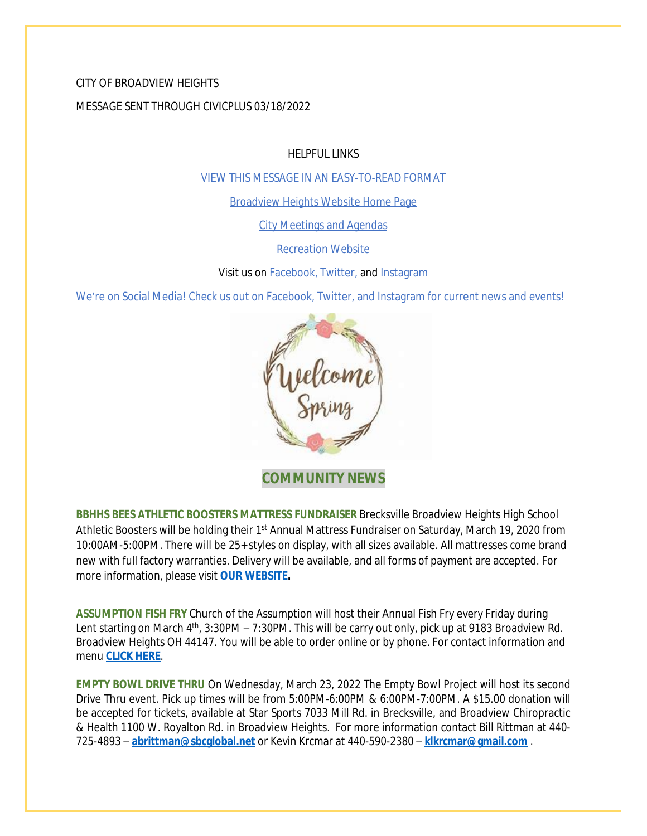### CITY OF BROADVIEW HEIGHTS

MESSAGE SENT THROUGH CIVICPLUS 03/18/2022

HELPFUL LINKS

[VIEW THIS MESSAGE IN AN EASY-TO-READ FORMAT](https://www.broadview-heights.org/Archive.aspx?AMID=37)

[Broadview Heights Website Home Page](https://www.broadview-heights.org/)

[City Meetings and Agendas](https://www.broadview-heights.org/1126/Agendas-Meeting-Minutes)

[Recreation Website](https://broadview-heights.org/292/Parks-Recreation)

Visit us on **Facebook**, **Twitter**, and **[Instagram](https://www.instagram.com/cityofbroadviewheights/)** 

We're on Social Media! Check us out on Facebook, Twitter, and Instagram for current news and events!



**COMMUNITY NEWS**

**BBHHS BEES ATHLETIC BOOSTERS MATTRESS FUNDRAISER** Brecksville Broadview Heights High School Athletic Boosters will be holding their 1<sup>st</sup> Annual Mattress Fundraiser on Saturday, March 19, 2020 from 10:00AM-5:00PM. There will be 25+ styles on display, with all sizes available. All mattresses come brand new with full factory warranties. Delivery will be available, and all forms of payment are accepted. For more information, please visit **[OUR WEBSITE](https://broadview-heights.org/Calendar.aspx?EID=3749).**

**ASSUMPTION FISH FRY** Church of the Assumption will host their Annual Fish Fry every Friday during Lent starting on March 4<sup>th</sup>, 3:30PM – 7:30PM. This will be carry out only, pick up at 9183 Broadview Rd. Broadview Heights OH 44147. You will be able to order online or by phone. For contact information and menu **[CLICK HERE](https://broadview-heights.org/DocumentCenter/View/9222/fishfry)**.

**EMPTY BOWL DRIVE THRU** On Wednesday, March 23, 2022 The Empty Bowl Project will host its second Drive Thru event. Pick up times will be from 5:00PM-6:00PM & 6:00PM-7:00PM. A \$15.00 donation will be accepted for tickets, available at Star Sports 7033 Mill Rd. in Brecksville, and Broadview Chiropractic & Health 1100 W. Royalton Rd. in Broadview Heights. For more information contact Bill Rittman at 440- 725-4893 – **[abrittman@sbcglobal.net](mailto:abrittman@sbcglobal.net)** or Kevin Krcmar at 440-590-2380 – **[klkrcmar@gmail.com](mailto:klkrcmar@gmail.com)** .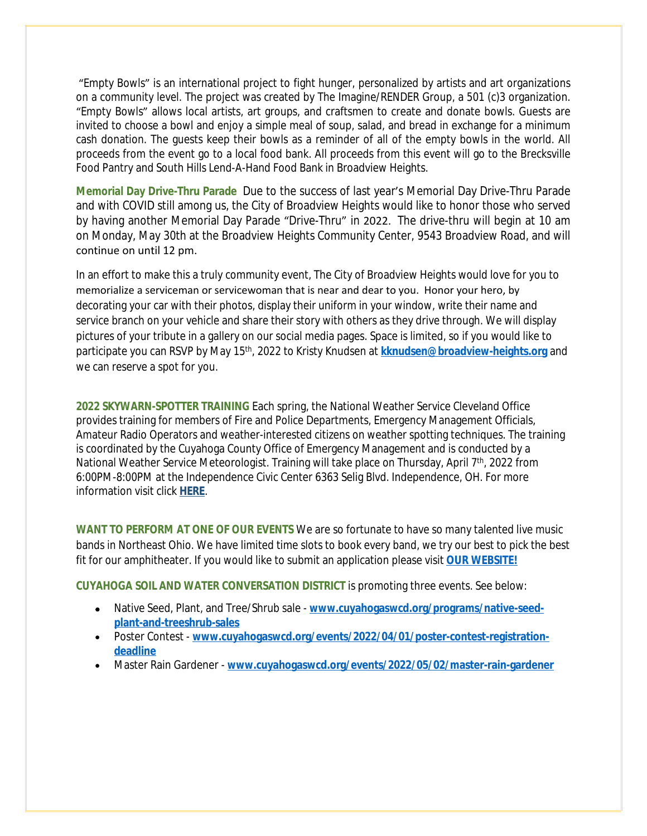"Empty Bowls" is an international project to fight hunger, personalized by artists and art organizations on a community level. The project was created by The Imagine/RENDER Group, a 501 (c)3 organization. "Empty Bowls" allows local artists, art groups, and craftsmen to create and donate bowls. Guests are invited to choose a bowl and enjoy a simple meal of soup, salad, and bread in exchange for a minimum cash donation. The guests keep their bowls as a reminder of all of the empty bowls in the world. All proceeds from the event go to a local food bank. All proceeds from this event will go to the Brecksville Food Pantry and South Hills Lend-A-Hand Food Bank in Broadview Heights.

**Memorial Day Drive-Thru Parade** Due to the success of last year's Memorial Day Drive-Thru Parade and with COVID still among us, the City of Broadview Heights would like to honor those who served by having another Memorial Day Parade "Drive-Thru" in 2022. The drive-thru will begin at 10 am on Monday, May 30th at the Broadview Heights Community Center, 9543 Broadview Road, and will continue on until 12 pm.

In an effort to make this a truly community event, The City of Broadview Heights would love for you to memorialize a serviceman or servicewoman that is near and dear to you. Honor your hero, by decorating your car with their photos, display their uniform in your window, write their name and service branch on your vehicle and share their story with others as they drive through. We will display pictures of your tribute in a gallery on our social media pages. Space is limited, so if you would like to participate you can RSVP by May 15th, 2022 to Kristy Knudsen at **[kknudsen@broadview-heights.org](mailto:kknudsen@broadview-heights.org)** and we can reserve a spot for you.

**2022 SKYWARN-SPOTTER TRAINING** Each spring, the National Weather Service Cleveland Office provides training for members of Fire and Police Departments, Emergency Management Officials, Amateur Radio Operators and weather-interested citizens on weather spotting techniques. The training is coordinated by the Cuyahoga County Office of Emergency Management and is conducted by a National Weather Service Meteorologist. Training will take place on Thursday, April 7<sup>th</sup>, 2022 from 6:00PM-8:00PM at the Independence Civic Center 6363 Selig Blvd. Independence, OH. For more information visit click **[HERE](https://ja.cuyahogacounty.us/en-US/040722-skywarn-training.aspx)**.

**WANT TO PERFORM AT ONE OF OUR EVENTS** We are so fortunate to have so many talented live music bands in Northeast Ohio. We have limited time slots to book every band, we try our best to pick the best fit for our amphitheater. If you would like to submit an application please visit **[OUR WEBSITE!](https://broadview-heights.org/FormCenter/Mayors-Office-14/Band-Inquiry-Form-122)**

**CUYAHOGA SOIL AND WATER CONVERSATION DISTRICT** is promoting three events. See below:

- Native Seed, Plant, and Tree/Shrub sale **[www.cuyahogaswcd.org/programs/native-seed](http://www.cuyahogaswcd.org/programs/native-seed-plant-and-treeshrub-sales)plant-and-treeshrub-sales**
- Poster Contest **[www.cuyahogaswcd.org/events/2022/04/01/poster-contest-registration](http://www.cuyahogaswcd.org/events/2022/04/01/poster-contest-registration-deadline)deadline**
- Master Rain Gardener **[www.cuyahogaswcd.org/events/2022/05/02/master-rain-gardener](http://www.cuyahogaswcd.org/events/2022/05/02/master-rain-gardener)**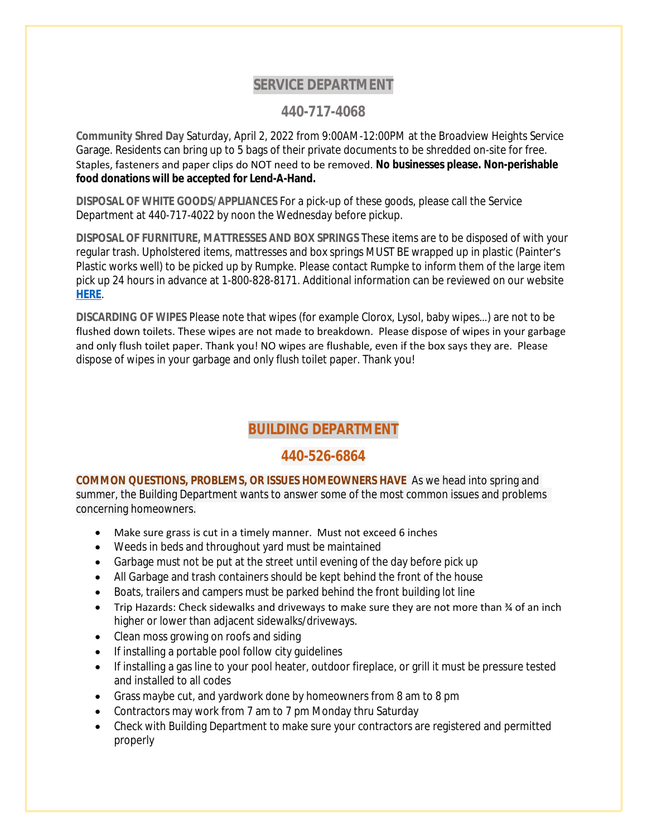# **SERVICE DEPARTMENT**

### **440-717-4068**

**Community Shred Day** Saturday, April 2, 2022 from 9:00AM-12:00PM at the Broadview Heights Service Garage. Residents can bring up to 5 bags of their private documents to be shredded on-site for free. Staples, fasteners and paper clips do NOT need to be removed. **No businesses please. Non-perishable food donations will be accepted for Lend-A-Hand.**

**DISPOSAL OF WHITE GOODS/APPLIANCES** For a pick-up of these goods, please call the Service Department at 440-717-4022 by noon the Wednesday before pickup.

**DISPOSAL OF FURNITURE, MATTRESSES AND BOX SPRINGS** These items are to be disposed of with your regular trash. Upholstered items, mattresses and box springs MUST BE wrapped up in plastic (Painter's Plastic works well) to be picked up by Rumpke. Please contact Rumpke to inform them of the large item pick up 24 hours in advance at 1-800-828-8171. Additional information can be reviewed on our website **[HERE](https://www.broadview-heights.org/1027/Garbage-Recycling)**.

**DISCARDING OF WIPES** Please note that wipes (for example Clorox, Lysol, baby wipes…) are not to be flushed down toilets. These wipes are not made to breakdown. Please dispose of wipes in your garbage and only flush toilet paper. Thank you! NO wipes are flushable, even if the box says they are. Please dispose of wipes in your garbage and only flush toilet paper. Thank you!

# **BUILDING DEPARTMENT**

## **440-526-6864**

**COMMON QUESTIONS, PROBLEMS, OR ISSUES HOMEOWNERS HAVE** As we head into spring and summer, the Building Department wants to answer some of the most common issues and problems concerning homeowners.

- Make sure grass is cut in a timely manner. Must not exceed 6 inches
- Weeds in beds and throughout yard must be maintained
- Garbage must not be put at the street until evening of the day before pick up
- All Garbage and trash containers should be kept behind the front of the house
- Boats, trailers and campers must be parked behind the front building lot line
- Trip Hazards: Check sidewalks and driveways to make sure they are not more than  $\frac{3}{4}$  of an inch higher or lower than adjacent sidewalks/driveways.
- Clean moss growing on roofs and siding
- If installing a portable pool follow city quidelines
- If installing a gas line to your pool heater, outdoor fireplace, or grill it must be pressure tested and installed to all codes
- Grass maybe cut, and yardwork done by homeowners from 8 am to 8 pm
- Contractors may work from 7 am to 7 pm Monday thru Saturday
- Check with Building Department to make sure your contractors are registered and permitted properly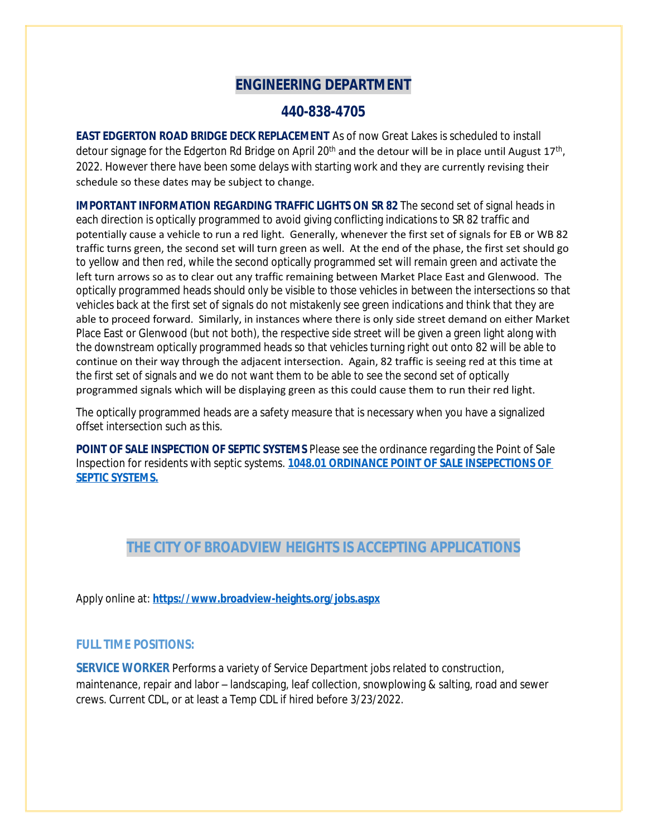# **ENGINEERING DEPARTMENT**

### **440-838-4705**

**EAST EDGERTON ROAD BRIDGE DECK REPLACEMENT** As of now Great Lakes is scheduled to install detour signage for the Edgerton Rd Bridge on April 20<sup>th</sup> and the detour will be in place until August 17<sup>th</sup>, 2022. However there have been some delays with starting work and they are currently revising their schedule so these dates may be subject to change.

**IMPORTANT INFORMATION REGARDING TRAFFIC LIGHTS ON SR 82** The second set of signal heads in each direction is optically programmed to avoid giving conflicting indications to SR 82 traffic and potentially cause a vehicle to run a red light. Generally, whenever the first set of signals for EB or WB 82 traffic turns green, the second set will turn green as well. At the end of the phase, the first set should go to yellow and then red, while the second optically programmed set will remain green and activate the left turn arrows so as to clear out any traffic remaining between Market Place East and Glenwood. The optically programmed heads should only be visible to those vehicles in between the intersections so that vehicles back at the first set of signals do not mistakenly see green indications and think that they are able to proceed forward. Similarly, in instances where there is only side street demand on either Market Place East or Glenwood (but not both), the respective side street will be given a green light along with the downstream optically programmed heads so that vehicles turning right out onto 82 will be able to continue on their way through the adjacent intersection. Again, 82 traffic is seeing red at this time at the first set of signals and we do not want them to be able to see the second set of optically programmed signals which will be displaying green as this could cause them to run their red light.

The optically programmed heads are a safety measure that is necessary when you have a signalized offset intersection such as this.

**POINT OF SALE INSPECTION OF SEPTIC SYSTEMS** Please see the ordinance regarding the Point of Sale Inspection for residents with septic systems. **[1048.01 ORDINANCE POINT OF SALE INSEPECTIONS OF](https://codelibrary.amlegal.com/codes/broadviewhts/latest/broadview_oh/0-0-0-13398)  SEPTIC SYSTEMS.**

# **THE CITY OF BROADVIEW HEIGHTS IS ACCEPTING APPLICATIONS**

Apply online at: **<https://www.broadview-heights.org/jobs.aspx>**

#### **FULL TIME POSITIONS:**

**SERVICE WORKER** Performs a variety of Service Department jobs related to construction, maintenance, repair and labor – landscaping, leaf collection, snowplowing & salting, road and sewer crews. Current CDL, or at least a Temp CDL if hired before 3/23/2022.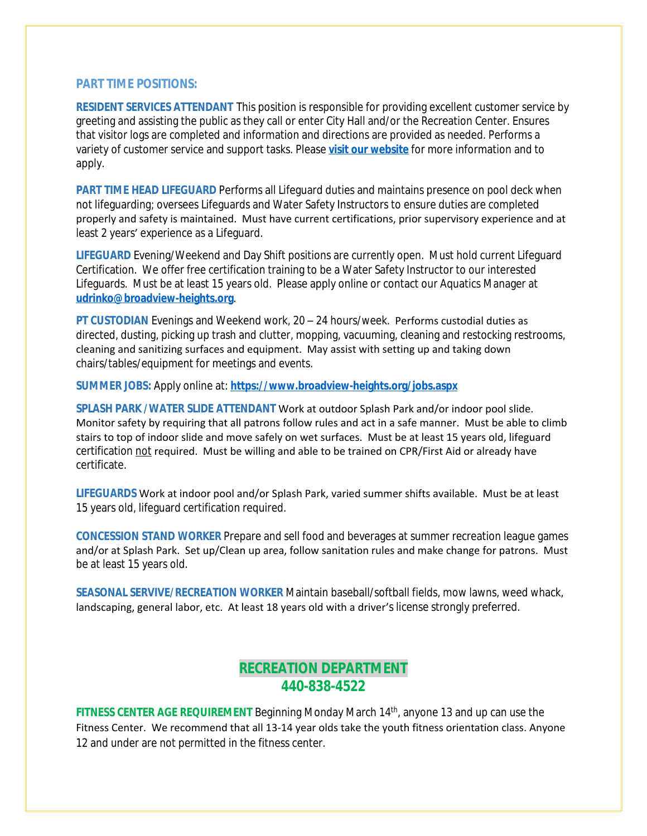#### **PART TIME POSITIONS:**

**RESIDENT SERVICES ATTENDANT** This position is responsible for providing excellent customer service by greeting and assisting the public as they call or enter City Hall and/or the Recreation Center. Ensures that visitor logs are completed and information and directions are provided as needed. Performs a variety of customer service and support tasks. Please **[visit our website](https://www.broadview-heights.org/Jobs.aspx?UniqueId=98&From=98&CommunityJobs=False&JobID=Resident-Services-Attendant-135)** for more information and to apply.

**PART TIME HEAD LIFEGUARD** Performs all Lifeguard duties and maintains presence on pool deck when not lifeguarding; oversees Lifeguards and Water Safety Instructors to ensure duties are completed properly and safety is maintained. Must have current certifications, prior supervisory experience and at least 2 years' experience as a Lifeguard.

**LIFEGUARD** Evening/Weekend and Day Shift positions are currently open. Must hold current Lifeguard Certification. We offer free certification training to be a Water Safety Instructor to our interested Lifeguards. Must be at least 15 years old. Please apply online or contact our Aquatics Manager at **[udrinko@broadview-heights.org](mailto:udrinko@broadview-heights.org)**.

**PT CUSTODIAN** Evenings and Weekend work, 20 – 24 hours/week. Performs custodial duties as directed, dusting, picking up trash and clutter, mopping, vacuuming, cleaning and restocking restrooms, cleaning and sanitizing surfaces and equipment. May assist with setting up and taking down chairs/tables/equipment for meetings and events.

**SUMMER JOBS:** Apply online at: **<https://www.broadview-heights.org/jobs.aspx>**

**SPLASH PARK /WATER SLIDE ATTENDANT** Work at outdoor Splash Park and/or indoor pool slide. Monitor safety by requiring that all patrons follow rules and act in a safe manner. Must be able to climb stairs to top of indoor slide and move safely on wet surfaces. Must be at least 15 years old, lifeguard certification not required. Must be willing and able to be trained on CPR/First Aid or already have certificate.

**LIFEGUARDS** Work at indoor pool and/or Splash Park, varied summer shifts available. Must be at least 15 years old, lifeguard certification required.

**CONCESSION STAND WORKER** Prepare and sell food and beverages at summer recreation league games and/or at Splash Park. Set up/Clean up area, follow sanitation rules and make change for patrons. Must be at least 15 years old.

**SEASONAL SERVIVE/RECREATION WORKER** Maintain baseball/softball fields, mow lawns, weed whack, landscaping, general labor, etc. At least 18 years old with a driver's license strongly preferred.

# **RECREATION DEPARTMENT 440-838-4522**

FITNESS CENTER AGE REQUIREMENT Beginning Monday March 14<sup>th</sup>, anyone 13 and up can use the Fitness Center. We recommend that all 13-14 year olds take the youth fitness orientation class. Anyone 12 and under are not permitted in the fitness center.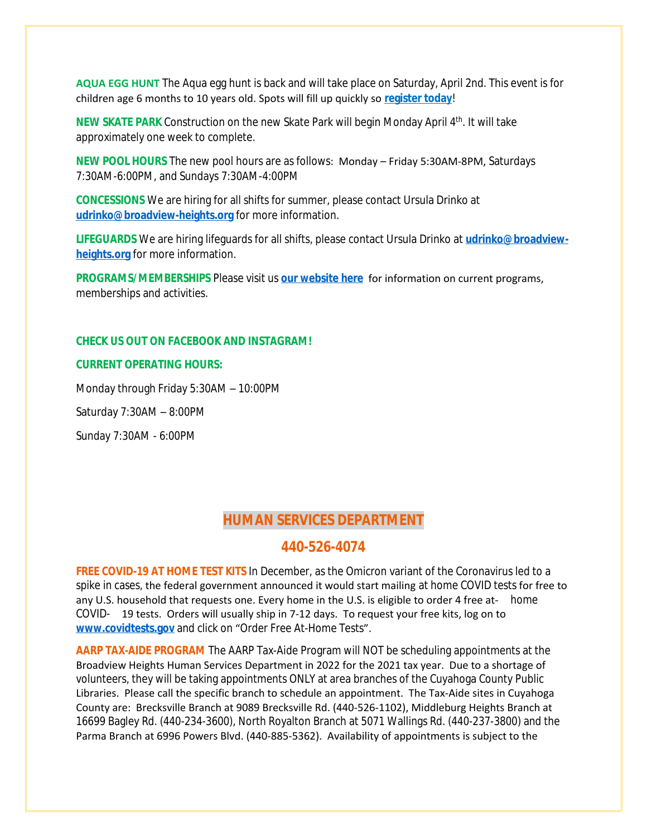**AQUA EGG HUNT** The Aqua egg hunt is back and will take place on Saturday, April 2nd. This event is for children age 6 months to 10 years old. Spots will fill up quickly so **[register today](https://web1.myvscloud.com/wbwsc/ohbroadviewheightswt.wsc/search.html?module=AR&Type=FDD,EVENT)**!

**NEW SKATE PARK** Construction on the new Skate Park will begin Monday April 4<sup>th</sup>. It will take approximately one week to complete.

**NEW POOL HOURS** The new pool hours are as follows: Monday – Friday 5:30AM-8PM, Saturdays 7:30AM-6:00PM, and Sundays 7:30AM-4:00PM

**CONCESSIONS** We are hiring for all shifts for summer, please contact Ursula Drinko at **[udrinko@broadview-heights.org](mailto:udrinko@broadview-heights.org)** for more information.

**LIFEGUARDS** We are hiring lifeguards for all shifts, please contact Ursula Drinko at **[udrinko@broadview](mailto:udrinko@broadview-heights.org)heights.org** for more information.

**PROGRAMS/MEMBERSHIPS** Please visit us **[our website here](https://www.broadview-heights.org/292/Parks-Recreation)** for information on current programs, memberships and activities.

#### **CHECK US OUT ON FACEBOOK AND INSTAGRAM!**

#### **CURRENT OPERATING HOURS:**

Monday through Friday 5:30AM – 10:00PM

Saturday 7:30AM – 8:00PM

Sunday 7:30AM - 6:00PM

## **HUMAN SERVICES DEPARTMENT**

## **440-526-4074**

**FREE COVID-19 AT HOME TEST KITS** In December, as the Omicron variant of the Coronavirus led to a spike in cases, the federal government announced it would start mailing at home COVID tests for free to any U.S. household that requests one. Every home in the U.S. is eligible to order 4 free at- home COVID- 19 tests. Orders will usually ship in 7-12 days. To request your free kits, log on to **[www.covidtests.gov](http://www.covidtests.gov)** and click on "Order Free At-Home Tests".

**AARP TAX-AIDE PROGRAM** The AARP Tax-Aide Program will NOT be scheduling appointments at the Broadview Heights Human Services Department in 2022 for the 2021 tax year. Due to a shortage of volunteers, they will be taking appointments ONLY at area branches of the Cuyahoga County Public Libraries. Please call the specific branch to schedule an appointment. The Tax-Aide sites in Cuyahoga County are: Brecksville Branch at 9089 Brecksville Rd. (440-526-1102), Middleburg Heights Branch at 16699 Bagley Rd. (440-234-3600), North Royalton Branch at 5071 Wallings Rd. (440-237-3800) and the Parma Branch at 6996 Powers Blvd. (440-885-5362). Availability of appointments is subject to the